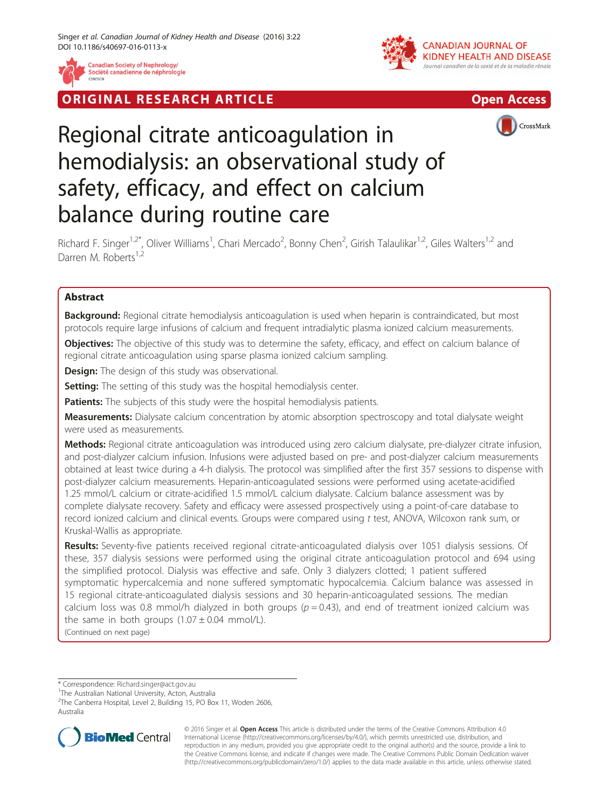

**Canadian Society of Nephrology/** Société canadienne de néphrologie

RIGINAL RESEARCH ARTICLE AND CONTROLLER IN THE OPEN ACCESS





# Regional citrate anticoagulation in hemodialysis: an observational study of safety, efficacy, and effect on calcium balance during routine care

Richard F. Singer<sup>1,2\*</sup>, Oliver Williams<sup>1</sup>, Chari Mercado<sup>2</sup>, Bonny Chen<sup>2</sup>, Girish Talaulikar<sup>1,2</sup>, Giles Walters<sup>1,2</sup> and Darren M. Roberts<sup>1,2</sup>

# Abstract

**Background:** Regional citrate hemodialysis anticoagulation is used when heparin is contraindicated, but most protocols require large infusions of calcium and frequent intradialytic plasma ionized calcium measurements.

Objectives: The objective of this study was to determine the safety, efficacy, and effect on calcium balance of regional citrate anticoagulation using sparse plasma ionized calcium sampling.

**Design:** The design of this study was observational.

**Setting:** The setting of this study was the hospital hemodialysis center.

Patients: The subjects of this study were the hospital hemodialysis patients.

**Measurements:** Dialysate calcium concentration by atomic absorption spectroscopy and total dialysate weight were used as measurements.

Methods: Regional citrate anticoagulation was introduced using zero calcium dialysate, pre-dialyzer citrate infusion, and post-dialyzer calcium infusion. Infusions were adjusted based on pre- and post-dialyzer calcium measurements obtained at least twice during a 4-h dialysis. The protocol was simplified after the first 357 sessions to dispense with post-dialyzer calcium measurements. Heparin-anticoagulated sessions were performed using acetate-acidified 1.25 mmol/L calcium or citrate-acidified 1.5 mmol/L calcium dialysate. Calcium balance assessment was by complete dialysate recovery. Safety and efficacy were assessed prospectively using a point-of-care database to record ionized calcium and clinical events. Groups were compared using t test, ANOVA, Wilcoxon rank sum, or Kruskal-Wallis as appropriate.

Results: Seventy-five patients received regional citrate-anticoagulated dialysis over 1051 dialysis sessions. Of these, 357 dialysis sessions were performed using the original citrate anticoagulation protocol and 694 using the simplified protocol. Dialysis was effective and safe. Only 3 dialyzers clotted; 1 patient suffered symptomatic hypercalcemia and none suffered symptomatic hypocalcemia. Calcium balance was assessed in 15 regional citrate-anticoagulated dialysis sessions and 30 heparin-anticoagulated sessions. The median calcium loss was 0.8 mmol/h dialyzed in both groups ( $p = 0.43$ ), and end of treatment ionized calcium was the same in both groups  $(1.07 \pm 0.04 \text{ mmol/L}).$ 

(Continued on next page)

\* Correspondence: [Richard.singer@act.gov.au](mailto:Richard.singer@act.gov.au) <sup>1</sup>

<sup>1</sup>The Australian National University, Acton, Australia

Australia



© 2016 Singer et al. Open Access This article is distributed under the terms of the Creative Commons Attribution 4.0 International License [\(http://creativecommons.org/licenses/by/4.0/](http://creativecommons.org/licenses/by/4.0/)), which permits unrestricted use, distribution, and reproduction in any medium, provided you give appropriate credit to the original author(s) and the source, provide a link to the Creative Commons license, and indicate if changes were made. The Creative Commons Public Domain Dedication waiver [\(http://creativecommons.org/publicdomain/zero/1.0/](http://creativecommons.org/publicdomain/zero/1.0/)) applies to the data made available in this article, unless otherwise stated.

<sup>&</sup>lt;sup>2</sup>The Canberra Hospital, Level 2, Building 15, PO Box 11, Woden 2606,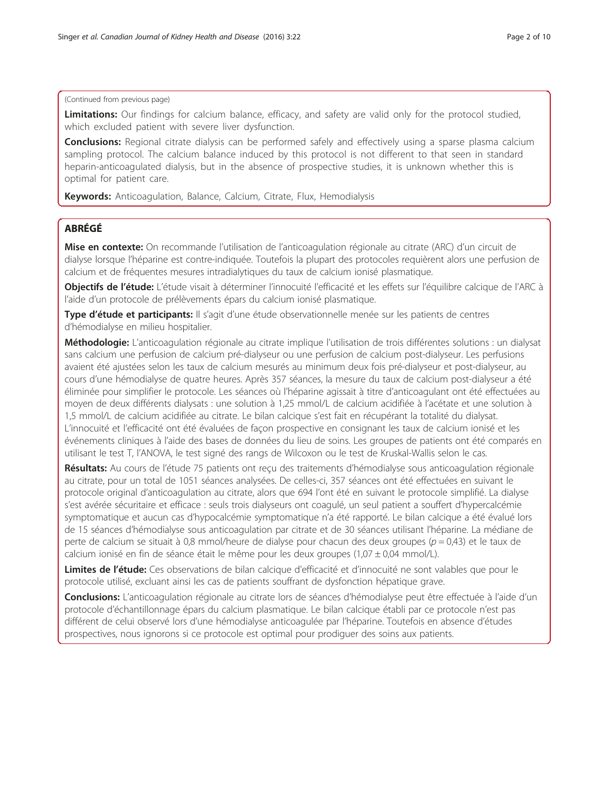## (Continued from previous page)

Limitations: Our findings for calcium balance, efficacy, and safety are valid only for the protocol studied, which excluded patient with severe liver dysfunction.

**Conclusions:** Regional citrate dialysis can be performed safely and effectively using a sparse plasma calcium sampling protocol. The calcium balance induced by this protocol is not different to that seen in standard heparin-anticoagulated dialysis, but in the absence of prospective studies, it is unknown whether this is optimal for patient care.

Keywords: Anticoagulation, Balance, Calcium, Citrate, Flux, Hemodialysis

# ABRÉGÉ

Mise en contexte: On recommande l'utilisation de l'anticoagulation régionale au citrate (ARC) d'un circuit de dialyse lorsque l'héparine est contre-indiquée. Toutefois la plupart des protocoles requièrent alors une perfusion de calcium et de fréquentes mesures intradialytiques du taux de calcium ionisé plasmatique.

Objectifs de l'étude: L'étude visait à déterminer l'innocuité l'efficacité et les effets sur l'équilibre calcique de l'ARC à l'aide d'un protocole de prélèvements épars du calcium ionisé plasmatique.

Type d'étude et participants: Il s'agit d'une étude observationnelle menée sur les patients de centres d'hémodialyse en milieu hospitalier.

Méthodologie: L'anticoagulation régionale au citrate implique l'utilisation de trois différentes solutions : un dialysat sans calcium une perfusion de calcium pré-dialyseur ou une perfusion de calcium post-dialyseur. Les perfusions avaient été ajustées selon les taux de calcium mesurés au minimum deux fois pré-dialyseur et post-dialyseur, au cours d'une hémodialyse de quatre heures. Après 357 séances, la mesure du taux de calcium post-dialyseur a été éliminée pour simplifier le protocole. Les séances où l'héparine agissait à titre d'anticoagulant ont été effectuées au moyen de deux différents dialysats : une solution à 1,25 mmol/L de calcium acidifiée à l'acétate et une solution à 1,5 mmol/L de calcium acidifiée au citrate. Le bilan calcique s'est fait en récupérant la totalité du dialysat. L'innocuité et l'efficacité ont été évaluées de façon prospective en consignant les taux de calcium ionisé et les événements cliniques à l'aide des bases de données du lieu de soins. Les groupes de patients ont été comparés en utilisant le test T, l'ANOVA, le test signé des rangs de Wilcoxon ou le test de Kruskal-Wallis selon le cas.

Résultats: Au cours de l'étude 75 patients ont reçu des traitements d'hémodialyse sous anticoagulation régionale au citrate, pour un total de 1051 séances analysées. De celles-ci, 357 séances ont été effectuées en suivant le protocole original d'anticoagulation au citrate, alors que 694 l'ont été en suivant le protocole simplifié. La dialyse s'est avérée sécuritaire et efficace : seuls trois dialyseurs ont coagulé, un seul patient a souffert d'hypercalcémie symptomatique et aucun cas d'hypocalcémie symptomatique n'a été rapporté. Le bilan calcique a été évalué lors de 15 séances d'hémodialyse sous anticoagulation par citrate et de 30 séances utilisant l'héparine. La médiane de perte de calcium se situait à 0,8 mmol/heure de dialyse pour chacun des deux groupes ( $p = 0.43$ ) et le taux de calcium ionisé en fin de séance était le même pour les deux groupes (1,07 ± 0,04 mmol/L).

Limites de l'étude: Ces observations de bilan calcique d'efficacité et d'innocuité ne sont valables que pour le protocole utilisé, excluant ainsi les cas de patients souffrant de dysfonction hépatique grave.

Conclusions: L'anticoagulation régionale au citrate lors de séances d'hémodialyse peut être effectuée à l'aide d'un protocole d'échantillonnage épars du calcium plasmatique. Le bilan calcique établi par ce protocole n'est pas différent de celui observé lors d'une hémodialyse anticoagulée par l'héparine. Toutefois en absence d'études prospectives, nous ignorons si ce protocole est optimal pour prodiguer des soins aux patients.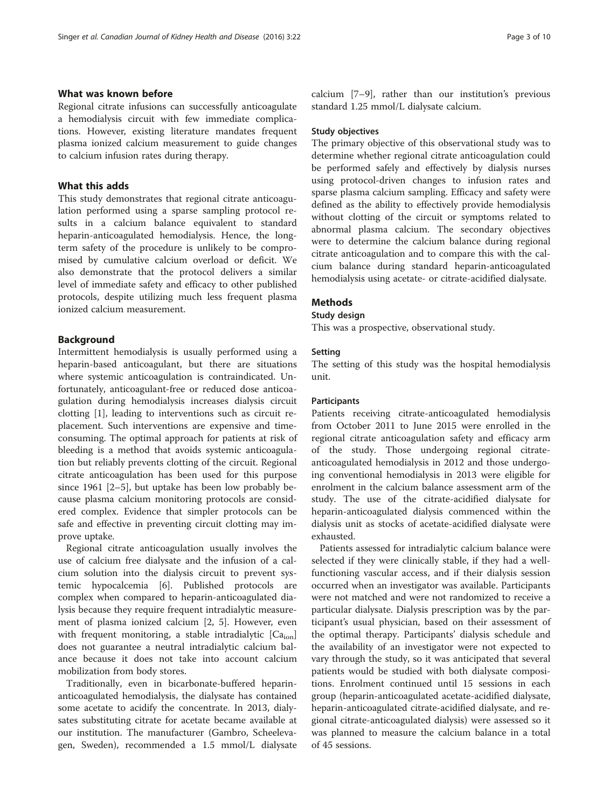## What was known before

Regional citrate infusions can successfully anticoagulate a hemodialysis circuit with few immediate complications. However, existing literature mandates frequent plasma ionized calcium measurement to guide changes to calcium infusion rates during therapy.

## What this adds

This study demonstrates that regional citrate anticoagulation performed using a sparse sampling protocol results in a calcium balance equivalent to standard heparin-anticoagulated hemodialysis. Hence, the longterm safety of the procedure is unlikely to be compromised by cumulative calcium overload or deficit. We also demonstrate that the protocol delivers a similar level of immediate safety and efficacy to other published protocols, despite utilizing much less frequent plasma ionized calcium measurement.

## Background

Intermittent hemodialysis is usually performed using a heparin-based anticoagulant, but there are situations where systemic anticoagulation is contraindicated. Unfortunately, anticoagulant-free or reduced dose anticoagulation during hemodialysis increases dialysis circuit clotting [\[1\]](#page-8-0), leading to interventions such as circuit replacement. Such interventions are expensive and timeconsuming. The optimal approach for patients at risk of bleeding is a method that avoids systemic anticoagulation but reliably prevents clotting of the circuit. Regional citrate anticoagulation has been used for this purpose since 1961 [\[2](#page-8-0)–[5\]](#page-8-0), but uptake has been low probably because plasma calcium monitoring protocols are considered complex. Evidence that simpler protocols can be safe and effective in preventing circuit clotting may improve uptake.

Regional citrate anticoagulation usually involves the use of calcium free dialysate and the infusion of a calcium solution into the dialysis circuit to prevent systemic hypocalcemia [[6\]](#page-8-0). Published protocols are complex when compared to heparin-anticoagulated dialysis because they require frequent intradialytic measurement of plasma ionized calcium [\[2](#page-8-0), [5](#page-8-0)]. However, even with frequent monitoring, a stable intradialytic  $[Ca<sub>ion</sub>]$ does not guarantee a neutral intradialytic calcium balance because it does not take into account calcium mobilization from body stores.

Traditionally, even in bicarbonate-buffered heparinanticoagulated hemodialysis, the dialysate has contained some acetate to acidify the concentrate. In 2013, dialysates substituting citrate for acetate became available at our institution. The manufacturer (Gambro, Scheelevagen, Sweden), recommended a 1.5 mmol/L dialysate calcium [\[7](#page-8-0)–[9\]](#page-9-0), rather than our institution's previous standard 1.25 mmol/L dialysate calcium.

#### Study objectives

The primary objective of this observational study was to determine whether regional citrate anticoagulation could be performed safely and effectively by dialysis nurses using protocol-driven changes to infusion rates and sparse plasma calcium sampling. Efficacy and safety were defined as the ability to effectively provide hemodialysis without clotting of the circuit or symptoms related to abnormal plasma calcium. The secondary objectives were to determine the calcium balance during regional citrate anticoagulation and to compare this with the calcium balance during standard heparin-anticoagulated hemodialysis using acetate- or citrate-acidified dialysate.

## **Methods**

#### Study design

This was a prospective, observational study.

#### Setting

The setting of this study was the hospital hemodialysis unit.

### **Participants**

Patients receiving citrate-anticoagulated hemodialysis from October 2011 to June 2015 were enrolled in the regional citrate anticoagulation safety and efficacy arm of the study. Those undergoing regional citrateanticoagulated hemodialysis in 2012 and those undergoing conventional hemodialysis in 2013 were eligible for enrolment in the calcium balance assessment arm of the study. The use of the citrate-acidified dialysate for heparin-anticoagulated dialysis commenced within the dialysis unit as stocks of acetate-acidified dialysate were exhausted.

Patients assessed for intradialytic calcium balance were selected if they were clinically stable, if they had a wellfunctioning vascular access, and if their dialysis session occurred when an investigator was available. Participants were not matched and were not randomized to receive a particular dialysate. Dialysis prescription was by the participant's usual physician, based on their assessment of the optimal therapy. Participants' dialysis schedule and the availability of an investigator were not expected to vary through the study, so it was anticipated that several patients would be studied with both dialysate compositions. Enrolment continued until 15 sessions in each group (heparin-anticoagulated acetate-acidified dialysate, heparin-anticoagulated citrate-acidified dialysate, and regional citrate-anticoagulated dialysis) were assessed so it was planned to measure the calcium balance in a total of 45 sessions.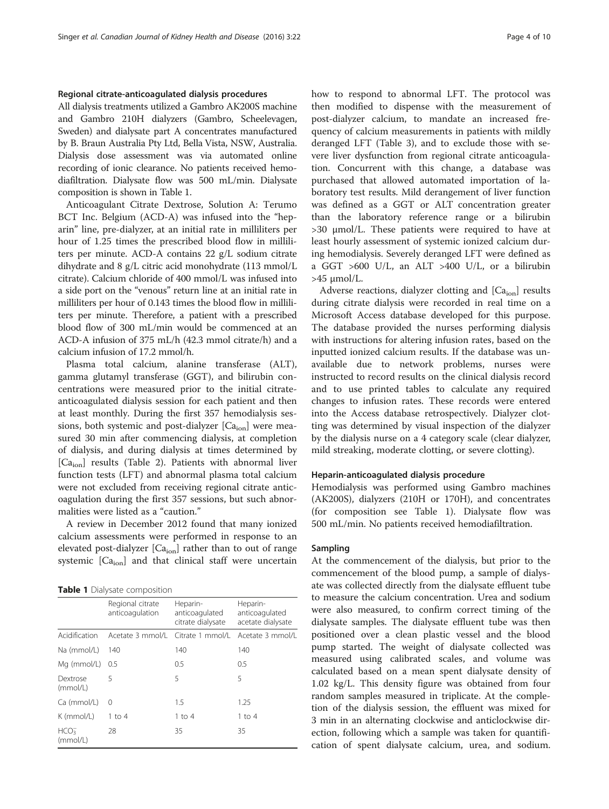## Regional citrate-anticoagulated dialysis procedures

All dialysis treatments utilized a Gambro AK200S machine and Gambro 210H dialyzers (Gambro, Scheelevagen, Sweden) and dialysate part A concentrates manufactured by B. Braun Australia Pty Ltd, Bella Vista, NSW, Australia. Dialysis dose assessment was via automated online recording of ionic clearance. No patients received hemodiafiltration. Dialysate flow was 500 mL/min. Dialysate composition is shown in Table 1.

Anticoagulant Citrate Dextrose, Solution A: Terumo BCT Inc. Belgium (ACD-A) was infused into the "heparin" line, pre-dialyzer, at an initial rate in milliliters per hour of 1.25 times the prescribed blood flow in milliliters per minute. ACD-A contains 22 g/L sodium citrate dihydrate and 8 g/L citric acid monohydrate (113 mmol/L citrate). Calcium chloride of 400 mmol/L was infused into a side port on the "venous" return line at an initial rate in milliliters per hour of 0.143 times the blood flow in milliliters per minute. Therefore, a patient with a prescribed blood flow of 300 mL/min would be commenced at an ACD-A infusion of 375 mL/h (42.3 mmol citrate/h) and a calcium infusion of 17.2 mmol/h.

Plasma total calcium, alanine transferase (ALT), gamma glutamyl transferase (GGT), and bilirubin concentrations were measured prior to the initial citrateanticoagulated dialysis session for each patient and then at least monthly. During the first 357 hemodialysis sessions, both systemic and post-dialyzer  $[Ca<sub>ion</sub>]$  were measured 30 min after commencing dialysis, at completion of dialysis, and during dialysis at times determined by [Ca<sub>ion</sub>] results (Table [2\)](#page-4-0). Patients with abnormal liver function tests (LFT) and abnormal plasma total calcium were not excluded from receiving regional citrate anticoagulation during the first 357 sessions, but such abnormalities were listed as a "caution."

A review in December 2012 found that many ionized calcium assessments were performed in response to an elevated post-dialyzer  $[Ca<sub>ion</sub>]$  rather than to out of range systemic  $[Ca<sub>ion</sub>]$  and that clinical staff were uncertain

## Table 1 Dialysate composition

|                              | Regional citrate<br>anticoagulation | Heparin-<br>anticoagulated<br>citrate dialysate | Heparin-<br>anticoagulated<br>acetate dialysate |
|------------------------------|-------------------------------------|-------------------------------------------------|-------------------------------------------------|
| Acidification                | Acetate 3 mmol/L Citrate 1 mmol/L   |                                                 | Acetate 3 mmol/l                                |
| Na (mmol/L)                  | 140                                 | 140                                             | 140                                             |
| Mg (mmol/L)                  | 0.5                                 | 0.5                                             | 0.5                                             |
| Dextrose<br>(mmol/L)         | 5                                   | 5                                               | 5                                               |
| Ca (mmol/L)                  | $\Omega$                            | 1.5                                             | 1.25                                            |
| $K$ (mmol/L)                 | $1$ to $4$                          | $1$ to $4$                                      | $1$ to $4$                                      |
| HCO <sub>3</sub><br>(mmol/L) | 28                                  | 35                                              | 35                                              |

how to respond to abnormal LFT. The protocol was then modified to dispense with the measurement of post-dialyzer calcium, to mandate an increased frequency of calcium measurements in patients with mildly deranged LFT (Table [3](#page-4-0)), and to exclude those with severe liver dysfunction from regional citrate anticoagulation. Concurrent with this change, a database was purchased that allowed automated importation of laboratory test results. Mild derangement of liver function was defined as a GGT or ALT concentration greater than the laboratory reference range or a bilirubin >30 μmol/L. These patients were required to have at least hourly assessment of systemic ionized calcium during hemodialysis. Severely deranged LFT were defined as a GGT >600 U/L, an ALT >400 U/L, or a bilirubin  $>45$  μmol/L.

Adverse reactions, dialyzer clotting and  $[Ca<sub>ion</sub>]$  results during citrate dialysis were recorded in real time on a Microsoft Access database developed for this purpose. The database provided the nurses performing dialysis with instructions for altering infusion rates, based on the inputted ionized calcium results. If the database was unavailable due to network problems, nurses were instructed to record results on the clinical dialysis record and to use printed tables to calculate any required changes to infusion rates. These records were entered into the Access database retrospectively. Dialyzer clotting was determined by visual inspection of the dialyzer by the dialysis nurse on a 4 category scale (clear dialyzer, mild streaking, moderate clotting, or severe clotting).

## Heparin-anticoagulated dialysis procedure

Hemodialysis was performed using Gambro machines (AK200S), dialyzers (210H or 170H), and concentrates (for composition see Table 1). Dialysate flow was 500 mL/min. No patients received hemodiafiltration.

#### Sampling

At the commencement of the dialysis, but prior to the commencement of the blood pump, a sample of dialysate was collected directly from the dialysate effluent tube to measure the calcium concentration. Urea and sodium were also measured, to confirm correct timing of the dialysate samples. The dialysate effluent tube was then positioned over a clean plastic vessel and the blood pump started. The weight of dialysate collected was measured using calibrated scales, and volume was calculated based on a mean spent dialysate density of 1.02 kg/L. This density figure was obtained from four random samples measured in triplicate. At the completion of the dialysis session, the effluent was mixed for 3 min in an alternating clockwise and anticlockwise direction, following which a sample was taken for quantification of spent dialysate calcium, urea, and sodium.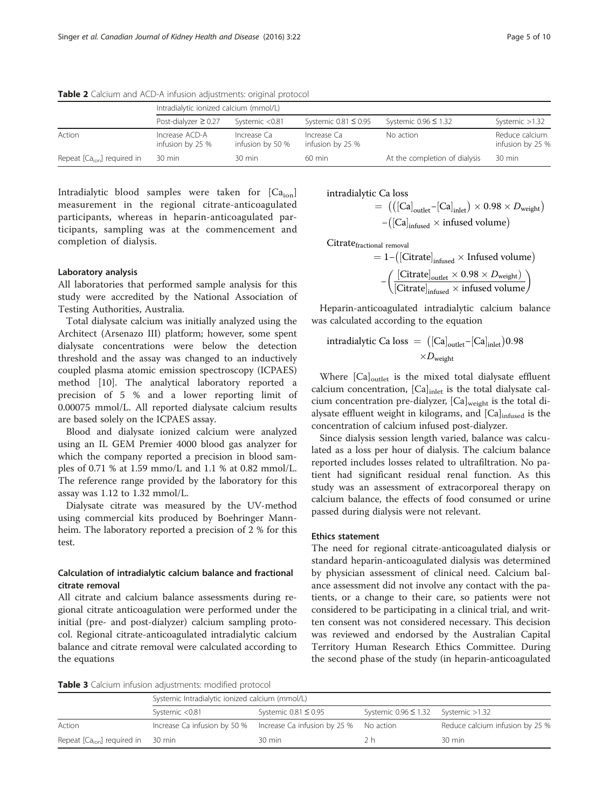|                                         | Intradialytic ionized calcium (mmol/L) |                                 |                                 |                               |                                    |
|-----------------------------------------|----------------------------------------|---------------------------------|---------------------------------|-------------------------------|------------------------------------|
|                                         | Post-dialyzer $\geq 0.27$              | Systemic <0.81                  | Systemic $0.81 \leq 0.95$       | Systemic $0.96 \leq 1.32$     | Systemic >1.32                     |
| Action                                  | Increase ACD-A<br>infusion by 25 %     | Increase Ca<br>infusion by 50 % | Increase Ca<br>infusion by 25 % | No action                     | Reduce calcium<br>infusion by 25 % |
| Repeat [Ca <sub>ion</sub> ] required in | $30 \text{ min}$                       | $30 \text{ min}$                | $60 \text{ min}$                | At the completion of dialysis | 30 min                             |

<span id="page-4-0"></span>Table 2 Calcium and ACD-A infusion adjustments: original protocol

Intradialytic blood samples were taken for  $[Ca<sub>ion</sub>]$ measurement in the regional citrate-anticoagulated participants, whereas in heparin-anticoagulated participants, sampling was at the commencement and completion of dialysis.

## Laboratory analysis

All laboratories that performed sample analysis for this study were accredited by the National Association of Testing Authorities, Australia.

Total dialysate calcium was initially analyzed using the Architect (Arsenazo III) platform; however, some spent dialysate concentrations were below the detection threshold and the assay was changed to an inductively coupled plasma atomic emission spectroscopy (ICPAES) method [\[10](#page-9-0)]. The analytical laboratory reported a precision of 5 % and a lower reporting limit of 0.00075 mmol/L. All reported dialysate calcium results are based solely on the ICPAES assay.

Blood and dialysate ionized calcium were analyzed using an IL GEM Premier 4000 blood gas analyzer for which the company reported a precision in blood samples of 0.71 % at 1.59 mmo/L and 1.1 % at 0.82 mmol/L. The reference range provided by the laboratory for this assay was 1.12 to 1.32 mmol/L.

Dialysate citrate was measured by the UV-method using commercial kits produced by Boehringer Mannheim. The laboratory reported a precision of 2 % for this test.

## Calculation of intradialytic calcium balance and fractional citrate removal

All citrate and calcium balance assessments during regional citrate anticoagulation were performed under the initial (pre- and post-dialyzer) calcium sampling protocol. Regional citrate-anticoagulated intradialytic calcium balance and citrate removal were calculated according to the equations

intradialytic Ca loss

$$
= \big(\big([{\text{Ca}}]_{\text{outlet}} - [{\text{Ca}}]_{\text{inlet}}\big) \times 0.98 \times D_{\text{weight}}\big)\\ - \big([{\text{Ca}}]_{\text{infused}} \times \text{infused volume}\big)
$$

Citratefractional removal

$$
= 1 - ([Citrate]_{infused} \times Infused volume)
$$

$$
- \left( \frac{[Citrate]_{outlet} \times 0.98 \times D_{weight})}{[Citrate]_{infused} \times infused volume} \right)
$$

Heparin-anticoagulated intradialytic calcium balance was calculated according to the equation

$$
intradialytic Ca loss = ([Ca]_{outlet} - [Ca]_{inlet})0.98
$$
  

$$
\times D_{weight}
$$

Where  $\left[\text{Cal}_{\text{outlet}}\right]$  is the mixed total dialysate effluent calcium concentration,  $[Ca]_{\text{inlet}}$  is the total dialysate calcium concentration pre-dialyzer,  $[Ca]_{weight}$  is the total dialysate effluent weight in kilograms, and [Ca]<sub>infused</sub> is the concentration of calcium infused post-dialyzer.

Since dialysis session length varied, balance was calculated as a loss per hour of dialysis. The calcium balance reported includes losses related to ultrafiltration. No patient had significant residual renal function. As this study was an assessment of extracorporeal therapy on calcium balance, the effects of food consumed or urine passed during dialysis were not relevant.

#### Ethics statement

The need for regional citrate-anticoagulated dialysis or standard heparin-anticoagulated dialysis was determined by physician assessment of clinical need. Calcium balance assessment did not involve any contact with the patients, or a change to their care, so patients were not considered to be participating in a clinical trial, and written consent was not considered necessary. This decision was reviewed and endorsed by the Australian Capital Territory Human Research Ethics Committee. During the second phase of the study (in heparin-anticoagulated

Table 3 Calcium infusion adjustments: modified protocol

|                                         | Systemic Intradialytic ionized calcium (mmol/L) |                                                                     |                           |                                 |
|-----------------------------------------|-------------------------------------------------|---------------------------------------------------------------------|---------------------------|---------------------------------|
|                                         | Systemic <0.81                                  | Systemic $0.81 \leq 0.95$                                           | Systemic $0.96 \leq 1.32$ | Systemic >1.32                  |
| Action                                  |                                                 | Increase Ca infusion by 50 % Increase Ca infusion by 25 % No action |                           | Reduce calcium infusion by 25 % |
| Repeat [Ca <sub>ion</sub> ] required in | - 30 min                                        | 30 min                                                              |                           | $30 \text{ min}$                |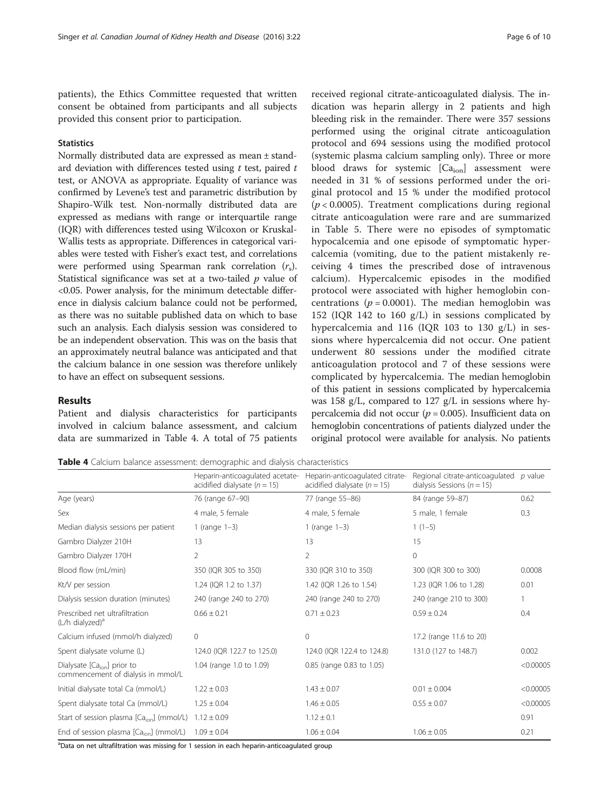<span id="page-5-0"></span>patients), the Ethics Committee requested that written consent be obtained from participants and all subjects provided this consent prior to participation.

## **Statistics**

Normally distributed data are expressed as mean ± standard deviation with differences tested using  $t$  test, paired  $t$ test, or ANOVA as appropriate. Equality of variance was confirmed by Levene's test and parametric distribution by Shapiro-Wilk test. Non-normally distributed data are expressed as medians with range or interquartile range (IQR) with differences tested using Wilcoxon or Kruskal-Wallis tests as appropriate. Differences in categorical variables were tested with Fisher's exact test, and correlations were performed using Spearman rank correlation  $(r<sub>s</sub>)$ . Statistical significance was set at a two-tailed  $p$  value of <0.05. Power analysis, for the minimum detectable difference in dialysis calcium balance could not be performed, as there was no suitable published data on which to base such an analysis. Each dialysis session was considered to be an independent observation. This was on the basis that an approximately neutral balance was anticipated and that the calcium balance in one session was therefore unlikely to have an effect on subsequent sessions.

## Results

Patient and dialysis characteristics for participants involved in calcium balance assessment, and calcium data are summarized in Table 4. A total of 75 patients

received regional citrate-anticoagulated dialysis. The indication was heparin allergy in 2 patients and high bleeding risk in the remainder. There were 357 sessions performed using the original citrate anticoagulation protocol and 694 sessions using the modified protocol (systemic plasma calcium sampling only). Three or more blood draws for systemic  $[C_{a_{\text{ion}}}]$  assessment were needed in 31 % of sessions performed under the original protocol and 15 % under the modified protocol  $(p < 0.0005)$ . Treatment complications during regional citrate anticoagulation were rare and are summarized in Table [5](#page-6-0). There were no episodes of symptomatic hypocalcemia and one episode of symptomatic hypercalcemia (vomiting, due to the patient mistakenly receiving 4 times the prescribed dose of intravenous calcium). Hypercalcemic episodes in the modified protocol were associated with higher hemoglobin concentrations ( $p = 0.0001$ ). The median hemoglobin was 152 (IQR 142 to 160 g/L) in sessions complicated by hypercalcemia and 116 (IQR 103 to 130 g/L) in sessions where hypercalcemia did not occur. One patient underwent 80 sessions under the modified citrate anticoagulation protocol and 7 of these sessions were complicated by hypercalcemia. The median hemoglobin of this patient in sessions complicated by hypercalcemia was 158 g/L, compared to 127 g/L in sessions where hypercalcemia did not occur ( $p = 0.005$ ). Insufficient data on hemoglobin concentrations of patients dialyzed under the original protocol were available for analysis. No patients

Table 4 Calcium balance assessment: demographic and dialysis characteristics

|                                                                               | Heparin-anticoagulated acetate-<br>acidified dialysate ( $n = 15$ ) | Heparin-anticoagulated citrate-<br>acidified dialysate ( $n = 15$ ) | Regional citrate-anticoagulated<br>dialysis Sessions ( $n = 15$ ) | <i>p</i> value |
|-------------------------------------------------------------------------------|---------------------------------------------------------------------|---------------------------------------------------------------------|-------------------------------------------------------------------|----------------|
| Age (years)                                                                   | 76 (range 67-90)                                                    | 77 (range 55-86)                                                    | 84 (range 59-87)                                                  | 0.62           |
| Sex                                                                           | 4 male, 5 female                                                    | 4 male, 5 female                                                    | 5 male, 1 female                                                  | 0.3            |
| Median dialysis sessions per patient                                          | 1 (range $1-3$ )                                                    | 1 (range $1-3$ )                                                    | $1(1-5)$                                                          |                |
| Gambro Dialyzer 210H                                                          | 13                                                                  | 13                                                                  | 15                                                                |                |
| Gambro Dialyzer 170H                                                          | $\overline{2}$                                                      | $\overline{2}$                                                      | $\circ$                                                           |                |
| Blood flow (mL/min)                                                           | 350 (IQR 305 to 350)                                                | 330 (IQR 310 to 350)                                                | 300 (IQR 300 to 300)                                              | 0.0008         |
| Kt/V per session                                                              | 1.24 (IQR 1.2 to 1.37)                                              | 1.42 (IQR 1.26 to 1.54)                                             | 1.23 (IQR 1.06 to 1.28)                                           | 0.01           |
| Dialysis session duration (minutes)                                           | 240 (range 240 to 270)                                              | 240 (range 240 to 270)                                              | 240 (range 210 to 300)                                            | 1              |
| Prescribed net ultrafiltration<br>$(L/h$ dialyzed) <sup>d</sup>               | $0.66 \pm 0.21$                                                     | $0.71 \pm 0.23$                                                     | $0.59 \pm 0.24$                                                   | 0.4            |
| Calcium infused (mmol/h dialyzed)                                             | $\circ$                                                             | $\Omega$                                                            | 17.2 (range 11.6 to 20)                                           |                |
| Spent dialysate volume (L)                                                    | 124.0 (IQR 122.7 to 125.0)                                          | 124.0 (IQR 122.4 to 124.8)                                          | 131.0 (127 to 148.7)                                              | 0.002          |
| Dialysate [Ca <sub>ion</sub> ] prior to<br>commencement of dialysis in mmol/L | 1.04 (range 1.0 to 1.09)                                            | 0.85 (range 0.83 to 1.05)                                           |                                                                   | < 0.00005      |
| Initial dialysate total Ca (mmol/L)                                           | $1.22 \pm 0.03$                                                     | $1.43 \pm 0.07$                                                     | $0.01 \pm 0.004$                                                  | < 0.00005      |
| Spent dialysate total Ca (mmol/L)                                             | $1.25 \pm 0.04$                                                     | $1.46 \pm 0.05$                                                     | $0.55 \pm 0.07$                                                   | < 0.00005      |
| Start of session plasma [Ca <sub>ion</sub> ] (mmol/L)                         | $1.12 \pm 0.09$                                                     | $1.12 \pm 0.1$                                                      |                                                                   | 0.91           |
| End of session plasma $[Caion]$ (mmol/L)                                      | $1.09 \pm 0.04$                                                     | $1.06 \pm 0.04$                                                     | $1.06 \pm 0.05$                                                   | 0.21           |

<sup>a</sup>Data on net ultrafiltration was missing for 1 session in each heparin-anticoagulated group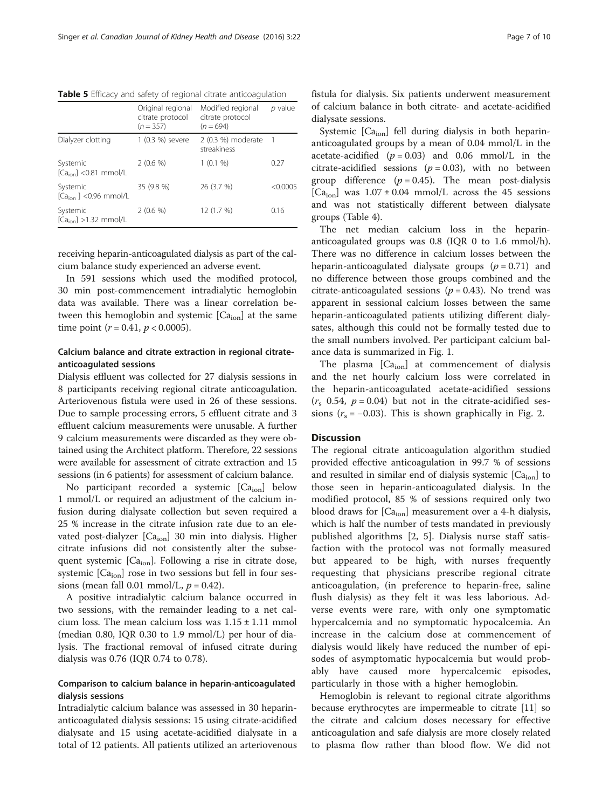<span id="page-6-0"></span>Table 5 Efficacy and safety of regional citrate anticoagulation

|                                     | Original regional<br>citrate protocol<br>$(n = 357)$ | Modified regional<br>citrate protocol<br>$(n = 694)$ | $p$ value |
|-------------------------------------|------------------------------------------------------|------------------------------------------------------|-----------|
| Dialyzer clotting                   | 1 (0.3 %) severe                                     | 2 (0.3 %) moderate<br>streakiness                    |           |
| Systemic<br>$[Caion] < 0.81$ mmol/L | 2(0.6%                                               | 1(0.1%                                               | 0.27      |
| Systemic<br>$[Caion]$ <0.96 mmol/L  | 35 (9.8 %)                                           | 26 (3.7 %)                                           | < 0.0005  |
| Systemic<br>$[Caion] > 1.32$ mmol/L | $2(0.6\%)$                                           | 12 (1.7 %)                                           | 0.16      |

receiving heparin-anticoagulated dialysis as part of the calcium balance study experienced an adverse event.

In 591 sessions which used the modified protocol, 30 min post-commencement intradialytic hemoglobin data was available. There was a linear correlation between this hemoglobin and systemic  $[Ca<sub>ion</sub>]$  at the same time point  $(r = 0.41, p < 0.0005)$ .

## Calcium balance and citrate extraction in regional citrateanticoagulated sessions

Dialysis effluent was collected for 27 dialysis sessions in 8 participants receiving regional citrate anticoagulation. Arteriovenous fistula were used in 26 of these sessions. Due to sample processing errors, 5 effluent citrate and 3 effluent calcium measurements were unusable. A further 9 calcium measurements were discarded as they were obtained using the Architect platform. Therefore, 22 sessions were available for assessment of citrate extraction and 15 sessions (in 6 patients) for assessment of calcium balance.

No participant recorded a systemic  $[Ca<sub>ion</sub>]$  below 1 mmol/L or required an adjustment of the calcium infusion during dialysate collection but seven required a 25 % increase in the citrate infusion rate due to an elevated post-dialyzer  $[Ca<sub>ion</sub>]$  30 min into dialysis. Higher citrate infusions did not consistently alter the subsequent systemic  $[Ca<sub>ion</sub>]$ . Following a rise in citrate dose, systemic  $[Ca<sub>ion</sub>]$  rose in two sessions but fell in four sessions (mean fall 0.01 mmol/L,  $p = 0.42$ ).

A positive intradialytic calcium balance occurred in two sessions, with the remainder leading to a net calcium loss. The mean calcium loss was  $1.15 \pm 1.11$  mmol (median 0.80, IQR 0.30 to 1.9 mmol/L) per hour of dialysis. The fractional removal of infused citrate during dialysis was 0.76 (IQR 0.74 to 0.78).

## Comparison to calcium balance in heparin-anticoagulated dialysis sessions

Intradialytic calcium balance was assessed in 30 heparinanticoagulated dialysis sessions: 15 using citrate-acidified dialysate and 15 using acetate-acidified dialysate in a total of 12 patients. All patients utilized an arteriovenous fistula for dialysis. Six patients underwent measurement of calcium balance in both citrate- and acetate-acidified dialysate sessions.

Systemic  $[Ca<sub>ion</sub>]$  fell during dialysis in both heparinanticoagulated groups by a mean of 0.04 mmol/L in the acetate-acidified  $(p = 0.03)$  and 0.06 mmol/L in the citrate-acidified sessions ( $p = 0.03$ ), with no between group difference  $(p = 0.45)$ . The mean post-dialysis [Ca<sub>ion</sub>] was  $1.07 \pm 0.04$  mmol/L across the 45 sessions and was not statistically different between dialysate groups (Table [4\)](#page-5-0).

The net median calcium loss in the heparinanticoagulated groups was 0.8 (IQR 0 to 1.6 mmol/h). There was no difference in calcium losses between the heparin-anticoagulated dialysate groups  $(p = 0.71)$  and no difference between those groups combined and the citrate-anticoagulated sessions ( $p = 0.43$ ). No trend was apparent in sessional calcium losses between the same heparin-anticoagulated patients utilizing different dialysates, although this could not be formally tested due to the small numbers involved. Per participant calcium balance data is summarized in Fig. [1.](#page-7-0)

The plasma  $[Ca<sub>ion</sub>]$  at commencement of dialysis and the net hourly calcium loss were correlated in the heparin-anticoagulated acetate-acidified sessions  $(r<sub>s</sub> 0.54, p = 0.04)$  but not in the citrate-acidified sessions ( $r_s = -0.03$ ). This is shown graphically in Fig. [2.](#page-7-0)

## **Discussion**

The regional citrate anticoagulation algorithm studied provided effective anticoagulation in 99.7 % of sessions and resulted in similar end of dialysis systemic [Ca<sub>ion</sub>] to those seen in heparin-anticoagulated dialysis. In the modified protocol, 85 % of sessions required only two blood draws for  $[Ca<sub>ion</sub>]$  measurement over a 4-h dialysis, which is half the number of tests mandated in previously published algorithms [\[2](#page-8-0), [5](#page-8-0)]. Dialysis nurse staff satisfaction with the protocol was not formally measured but appeared to be high, with nurses frequently requesting that physicians prescribe regional citrate anticoagulation, (in preference to heparin-free, saline flush dialysis) as they felt it was less laborious. Adverse events were rare, with only one symptomatic hypercalcemia and no symptomatic hypocalcemia. An increase in the calcium dose at commencement of dialysis would likely have reduced the number of episodes of asymptomatic hypocalcemia but would probably have caused more hypercalcemic episodes, particularly in those with a higher hemoglobin.

Hemoglobin is relevant to regional citrate algorithms because erythrocytes are impermeable to citrate [[11\]](#page-9-0) so the citrate and calcium doses necessary for effective anticoagulation and safe dialysis are more closely related to plasma flow rather than blood flow. We did not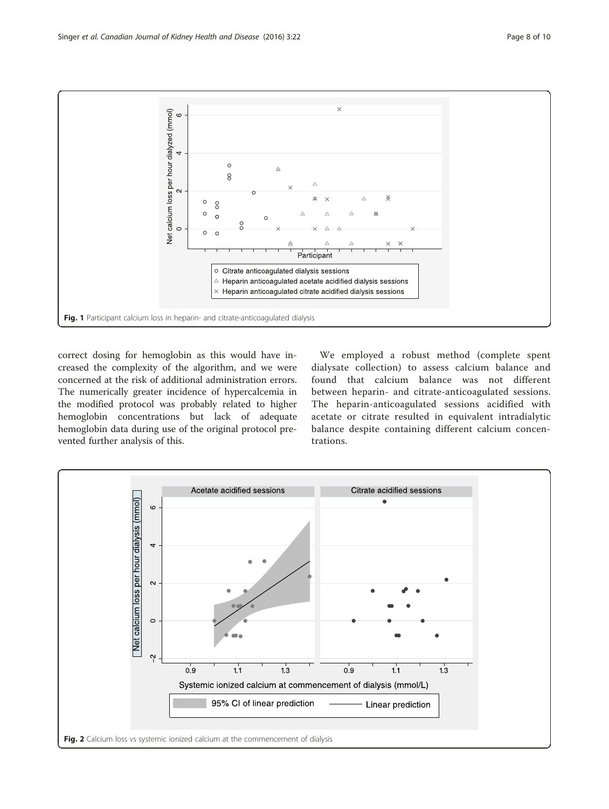<span id="page-7-0"></span>

correct dosing for hemoglobin as this would have increased the complexity of the algorithm, and we were concerned at the risk of additional administration errors. The numerically greater incidence of hypercalcemia in the modified protocol was probably related to higher hemoglobin concentrations but lack of adequate hemoglobin data during use of the original protocol prevented further analysis of this.

We employed a robust method (complete spent dialysate collection) to assess calcium balance and found that calcium balance was not different between heparin- and citrate-anticoagulated sessions. The heparin-anticoagulated sessions acidified with acetate or citrate resulted in equivalent intradialytic balance despite containing different calcium concentrations.

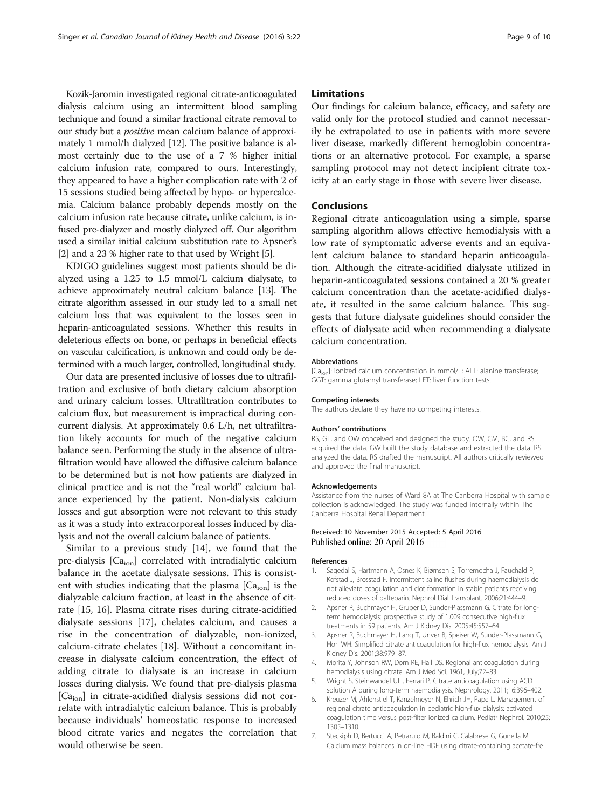<span id="page-8-0"></span>Kozik-Jaromin investigated regional citrate-anticoagulated dialysis calcium using an intermittent blood sampling technique and found a similar fractional citrate removal to our study but a positive mean calcium balance of approximately 1 mmol/h dialyzed [[12](#page-9-0)]. The positive balance is almost certainly due to the use of a 7 % higher initial calcium infusion rate, compared to ours. Interestingly, they appeared to have a higher complication rate with 2 of 15 sessions studied being affected by hypo- or hypercalcemia. Calcium balance probably depends mostly on the calcium infusion rate because citrate, unlike calcium, is infused pre-dialyzer and mostly dialyzed off. Our algorithm used a similar initial calcium substitution rate to Apsner's [2] and a 23 % higher rate to that used by Wright [5].

KDIGO guidelines suggest most patients should be dialyzed using a 1.25 to 1.5 mmol/L calcium dialysate, to achieve approximately neutral calcium balance [[13\]](#page-9-0). The citrate algorithm assessed in our study led to a small net calcium loss that was equivalent to the losses seen in heparin-anticoagulated sessions. Whether this results in deleterious effects on bone, or perhaps in beneficial effects on vascular calcification, is unknown and could only be determined with a much larger, controlled, longitudinal study.

Our data are presented inclusive of losses due to ultrafiltration and exclusive of both dietary calcium absorption and urinary calcium losses. Ultrafiltration contributes to calcium flux, but measurement is impractical during concurrent dialysis. At approximately 0.6 L/h, net ultrafiltration likely accounts for much of the negative calcium balance seen. Performing the study in the absence of ultrafiltration would have allowed the diffusive calcium balance to be determined but is not how patients are dialyzed in clinical practice and is not the "real world" calcium balance experienced by the patient. Non-dialysis calcium losses and gut absorption were not relevant to this study as it was a study into extracorporeal losses induced by dialysis and not the overall calcium balance of patients.

Similar to a previous study [\[14\]](#page-9-0), we found that the pre-dialysis [Ca<sub>ion</sub>] correlated with intradialytic calcium balance in the acetate dialysate sessions. This is consistent with studies indicating that the plasma  $[Ca<sub>ion</sub>]$  is the dialyzable calcium fraction, at least in the absence of citrate [\[15, 16](#page-9-0)]. Plasma citrate rises during citrate-acidified dialysate sessions [[17\]](#page-9-0), chelates calcium, and causes a rise in the concentration of dialyzable, non-ionized, calcium-citrate chelates [\[18\]](#page-9-0). Without a concomitant increase in dialysate calcium concentration, the effect of adding citrate to dialysate is an increase in calcium losses during dialysis. We found that pre-dialysis plasma [Ca<sub>ion</sub>] in citrate-acidified dialysis sessions did not correlate with intradialytic calcium balance. This is probably because individuals' homeostatic response to increased blood citrate varies and negates the correlation that would otherwise be seen.

## Limitations

Our findings for calcium balance, efficacy, and safety are valid only for the protocol studied and cannot necessarily be extrapolated to use in patients with more severe liver disease, markedly different hemoglobin concentrations or an alternative protocol. For example, a sparse sampling protocol may not detect incipient citrate toxicity at an early stage in those with severe liver disease.

## Conclusions

Regional citrate anticoagulation using a simple, sparse sampling algorithm allows effective hemodialysis with a low rate of symptomatic adverse events and an equivalent calcium balance to standard heparin anticoagulation. Although the citrate-acidified dialysate utilized in heparin-anticoagulated sessions contained a 20 % greater calcium concentration than the acetate-acidified dialysate, it resulted in the same calcium balance. This suggests that future dialysate guidelines should consider the effects of dialysate acid when recommending a dialysate calcium concentration.

#### Abbreviations

[Ca<sub>ion</sub>]: ionized calcium concentration in mmol/L; ALT: alanine transferase; GGT: gamma glutamyl transferase; LFT: liver function tests.

#### Competing interests

The authors declare they have no competing interests.

#### Authors' contributions

RS, GT, and OW conceived and designed the study. OW, CM, BC, and RS acquired the data. GW built the study database and extracted the data. RS analyzed the data. RS drafted the manuscript. All authors critically reviewed and approved the final manuscript.

#### Acknowledgements

Assistance from the nurses of Ward 8A at The Canberra Hospital with sample collection is acknowledged. The study was funded internally within The Canberra Hospital Renal Department.

#### Received: 10 November 2015 Accepted: 5 April 2016 Published online: 20 April 2016

#### References

- Sagedal S, Hartmann A, Osnes K, Bjørnsen S, Torremocha J, Fauchald P, Kofstad J, Brosstad F. Intermittent saline flushes during haemodialysis do not alleviate coagulation and clot formation in stable patients receiving reduced doses of dalteparin. Nephrol Dial Transplant. 2006;21:444–9.
- 2. Apsner R, Buchmayer H, Gruber D, Sunder-Plassmann G. Citrate for longterm hemodialysis: prospective study of 1,009 consecutive high-flux treatments in 59 patients. Am J Kidney Dis. 2005;45:557–64.
- 3. Apsner R, Buchmayer H, Lang T, Unver B, Speiser W, Sunder-Plassmann G, Hörl WH. Simplified citrate anticoagulation for high-flux hemodialysis. Am J Kidney Dis. 2001;38:979–87.
- 4. Morita Y, Johnson RW, Dorn RE, Hall DS. Regional anticoagulation during hemodialysis using citrate. Am J Med Sci. 1961, July;72–83.
- 5. Wright S, Steinwandel ULI, Ferrari P. Citrate anticoagulation using ACD solution A during long-term haemodialysis. Nephrology. 2011;16:396–402.
- 6. Kreuzer M, Ahlenstiel T, Kanzelmeyer N, Ehrich JH, Pape L. Management of regional citrate anticoagulation in pediatric high-flux dialysis: activated coagulation time versus post-filter ionized calcium. Pediatr Nephrol. 2010;25: 1305–1310.
- 7. Steckiph D, Bertucci A, Petrarulo M, Baldini C, Calabrese G, Gonella M. Calcium mass balances in on-line HDF using citrate-containing acetate-fre